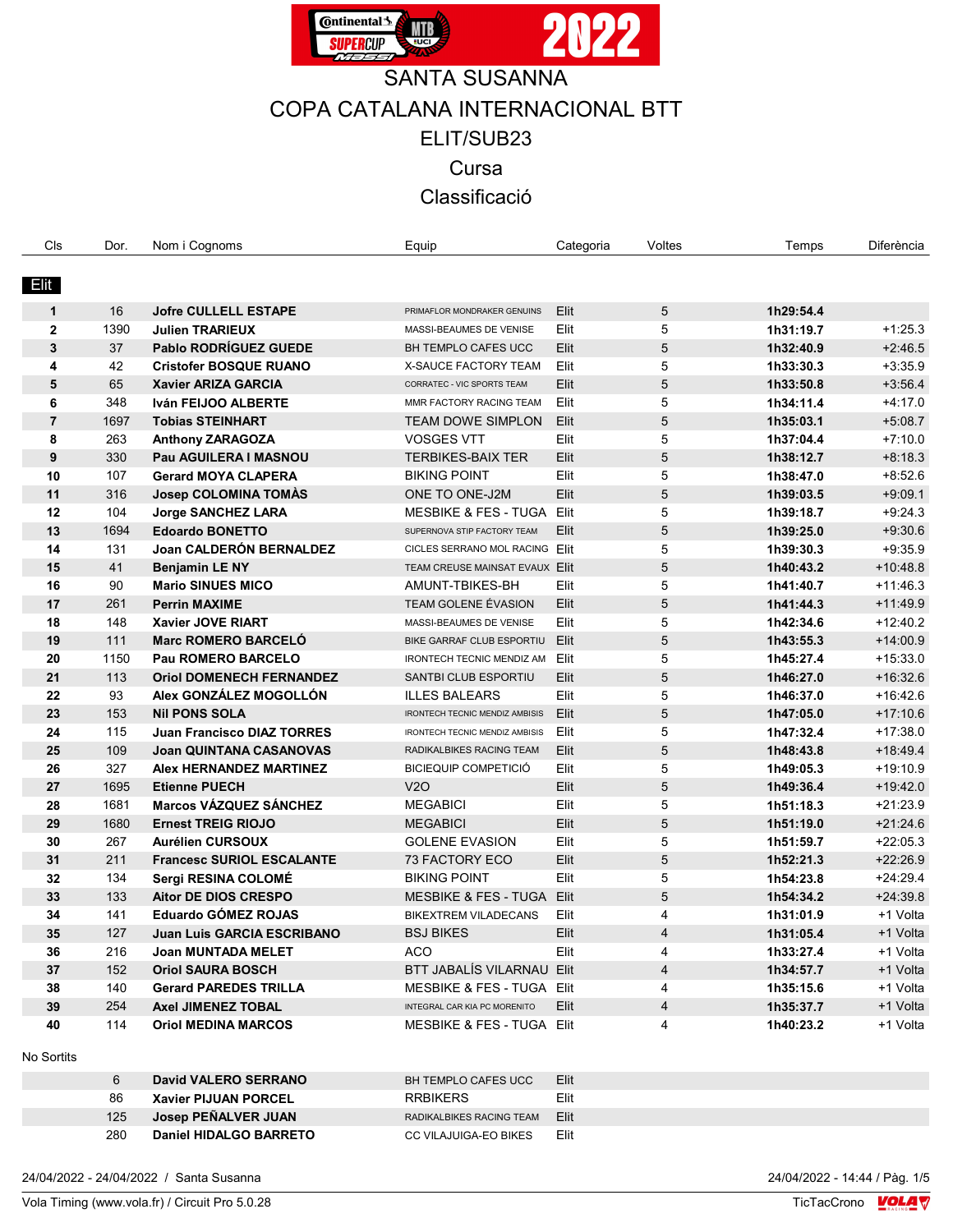

| Cls            | Dor.       | Nom i Cognoms                     | Equip                                          | Categoria | Voltes | Temps     | Diferència |
|----------------|------------|-----------------------------------|------------------------------------------------|-----------|--------|-----------|------------|
|                |            |                                   |                                                |           |        |           |            |
| Elit           |            |                                   |                                                |           |        |           |            |
| $\mathbf{1}$   | 16         | <b>Jofre CULLELL ESTAPE</b>       | PRIMAFLOR MONDRAKER GENUINS                    | Elit      | 5      | 1h29:54.4 |            |
| $\mathbf{2}$   | 1390       | <b>Julien TRARIEUX</b>            | MASSI-BEAUMES DE VENISE                        | Elit      | 5      | 1h31:19.7 | $+1.25.3$  |
| $\mathbf{3}$   | 37         | <b>Pablo RODRÍGUEZ GUEDE</b>      | BH TEMPLO CAFES UCC                            | Elit      | 5      | 1h32:40.9 | $+2:46.5$  |
| 4              | 42         | <b>Cristofer BOSQUE RUANO</b>     | X-SAUCE FACTORY TEAM                           | Elit      | 5      | 1h33:30.3 | $+3:35.9$  |
| 5              | 65         | <b>Xavier ARIZA GARCIA</b>        | CORRATEC - VIC SPORTS TEAM                     | Elit      | 5      | 1h33:50.8 | $+3.56.4$  |
| 6              | 348        | Iván FEIJOO ALBERTE               | MMR FACTORY RACING TEAM                        | Elit      | 5      | 1h34:11.4 | $+4.17.0$  |
| $\overline{7}$ | 1697       | <b>Tobias STEINHART</b>           | <b>TEAM DOWE SIMPLON</b>                       | Elit      | 5      | 1h35:03.1 | $+5.08.7$  |
| 8              | 263        | <b>Anthony ZARAGOZA</b>           | <b>VOSGES VTT</b>                              | Elit      | 5      | 1h37:04.4 | $+7:10.0$  |
| 9              | 330        | Pau AGUILERA I MASNOU             | <b>TERBIKES-BAIX TER</b>                       | Elit      | 5      | 1h38:12.7 | $+8.18.3$  |
| 10             | 107        | <b>Gerard MOYA CLAPERA</b>        | <b>BIKING POINT</b>                            | Elit      | 5      | 1h38:47.0 | $+8.52.6$  |
| 11             | 316        | <b>Josep COLOMINA TOMÀS</b>       | ONE TO ONE-J2M                                 | Elit      | 5      | 1h39:03.5 | $+9.09.1$  |
| 12             | 104        | <b>Jorge SANCHEZ LARA</b>         | <b>MESBIKE &amp; FES - TUGA</b>                | Elit      | 5      | 1h39:18.7 | $+9.24.3$  |
| 13             | 1694       | <b>Edoardo BONETTO</b>            | SUPERNOVA STIP FACTORY TEAM                    | Elit      | 5      | 1h39:25.0 | $+9.30.6$  |
| 14             | 131        | Joan CALDERÓN BERNALDEZ           | CICLES SERRANO MOL RACING Elit                 |           | 5      | 1h39:30.3 | $+9.35.9$  |
| 15             | 41         | <b>Benjamin LE NY</b>             | TEAM CREUSE MAINSAT EVAUX Elit                 |           | 5      | 1h40:43.2 | $+10:48.8$ |
| 16             | 90         | <b>Mario SINUES MICO</b>          | AMUNT-TBIKES-BH                                | Elit      | 5      | 1h41:40.7 | $+11:46.3$ |
| 17             | 261        | <b>Perrin MAXIME</b>              |                                                | Elit      | 5      |           | $+11.49.9$ |
|                | 148        | <b>Xavier JOVE RIART</b>          | TEAM GOLENE ÉVASION<br>MASSI-BEAUMES DE VENISE | Elit      | 5      | 1h41:44.3 | $+12:40.2$ |
| 18             | 111        | <b>Marc ROMERO BARCELÓ</b>        |                                                |           |        | 1h42:34.6 |            |
| 19             |            |                                   | BIKE GARRAF CLUB ESPORTIU                      | Elit      | 5      | 1h43:55.3 | $+14:00.9$ |
| 20             | 1150       | Pau ROMERO BARCELO                | <b>IRONTECH TECNIC MENDIZ AM</b>               | Elit      | 5      | 1h45:27.4 | $+15:33.0$ |
| 21             | 113        | <b>Oriol DOMENECH FERNANDEZ</b>   | SANTBI CLUB ESPORTIU                           | Elit      | 5      | 1h46:27.0 | $+16.32.6$ |
| 22             | 93         | Alex GONZÁLEZ MOGOLLÓN            | <b>ILLES BALEARS</b>                           | Elit      | 5      | 1h46:37.0 | $+16.42.6$ |
| 23             | 153        | <b>Nil PONS SOLA</b>              | <b>IRONTECH TECNIC MENDIZ AMBISIS</b>          | Elit      | 5      | 1h47:05.0 | $+17:10.6$ |
| 24             | 115        | <b>Juan Francisco DIAZ TORRES</b> | <b>IRONTECH TECNIC MENDIZ AMBISIS</b>          | Elit      | 5      | 1h47:32.4 | $+17:38.0$ |
| 25             | 109        | <b>Joan QUINTANA CASANOVAS</b>    | RADIKALBIKES RACING TEAM                       | Elit      | 5      | 1h48:43.8 | $+18.49.4$ |
| 26             | 327        | <b>Alex HERNANDEZ MARTINEZ</b>    | <b>BICIEQUIP COMPETICIÓ</b>                    | Elit      | 5      | 1h49:05.3 | $+19.10.9$ |
| 27             | 1695       | <b>Etienne PUECH</b>              | V2O                                            | Elit      | 5      | 1h49:36.4 | $+19.42.0$ |
| 28             | 1681       | <b>Marcos VÁZQUEZ SÁNCHEZ</b>     | <b>MEGABICI</b>                                | Elit      | 5      | 1h51:18.3 | $+21:23.9$ |
| 29             | 1680       | <b>Ernest TREIG RIOJO</b>         | <b>MEGABICI</b>                                | Elit      | 5      | 1h51:19.0 | $+21:24.6$ |
| 30             | 267        | <b>Aurélien CURSOUX</b>           | <b>GOLENE EVASION</b>                          | Elit      | 5      | 1h51:59.7 | $+22:05.3$ |
| 31             | 211        | <b>Francesc SURIOL ESCALANTE</b>  | 73 FACTORY ECO                                 | Elit      | 5      | 1h52:21.3 | $+22:26.9$ |
| 32             | 134        | Sergi RESINA COLOMÉ               | <b>BIKING POINT</b>                            | Elit      | 5      | 1h54:23.8 | $+24:29.4$ |
| 33             | 133        | Aitor DE DIOS CRESPO              | <b>MESBIKE &amp; FES - TUGA</b>                | Elit      | 5      | 1h54:34.2 | $+24:39.8$ |
| 34             | 141        | <b>Eduardo GÓMEZ ROJAS</b>        | <b>BIKEXTREM VILADECANS</b>                    | Elit      | 4      | 1h31:01.9 | +1 Volta   |
| 35             | 127        | Juan Luis GARCIA ESCRIBANO        | <b>BSJ BIKES</b>                               | Elit      | 4      | 1h31:05.4 | +1 Volta   |
| 36             | 216        | <b>Joan MUNTADA MELET</b>         | ACO                                            | Elit      | 4      | 1h33:27.4 | +1 Volta   |
| 37             | 152        | <b>Oriol SAURA BOSCH</b>          | BTT JABALIS VILARNAU Elit                      |           | 4      | 1h34:57.7 | +1 Volta   |
| 38             | 140        | <b>Gerard PAREDES TRILLA</b>      | MESBIKE & FES - TUGA Elit                      |           | 4      | 1h35:15.6 | +1 Volta   |
| 39             | 254        | Axel JIMENEZ TOBAL                | INTEGRAL CAR KIA PC MORENITO                   | Elit      | 4      | 1h35:37.7 | +1 Volta   |
| 40             | 114        | <b>Oriol MEDINA MARCOS</b>        | MESBIKE & FES - TUGA Elit                      |           | 4      | 1h40:23.2 | +1 Volta   |
|                |            |                                   |                                                |           |        |           |            |
| No Sortits     |            |                                   |                                                |           |        |           |            |
|                | $\epsilon$ | Dovid VALEDO SEDDANO              | <b>DU TEMPLO CAEES HCC.</b>                    | E14       |        |           |            |

|     | <b>David VALERO SERRANO</b> | BH TEMPLO CAFES UCC           | Elit |
|-----|-----------------------------|-------------------------------|------|
| 86  | Xavier PIJUAN PORCEL        | <b>RRBIKERS</b>               | Elit |
| 125 | Josep PEÑALVER JUAN         | RADIKALBIKES RACING TEAM Elit |      |
| 280 | Daniel HIDALGO BARRETO      | CC VILAJUIGA-EO BIKES         | Elit |

24/04/2022 - 24/04/2022 / Santa Susanna 24/04/2022 - 14:44 / Pàg. 1/5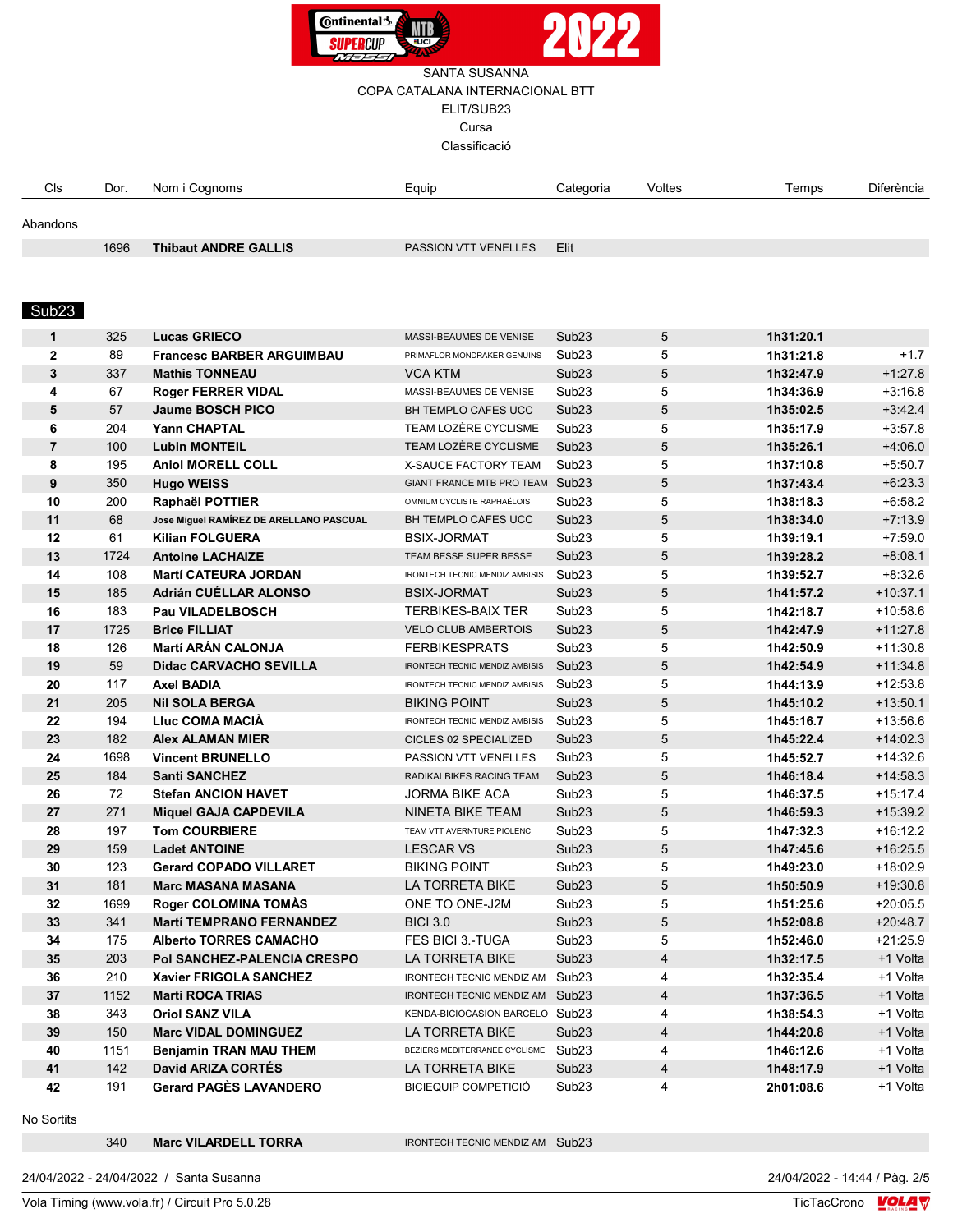

| Cls      | Dor. | Nom i Cognoms | Equip | Categoria | Voltes | Temps | ∩iferència |
|----------|------|---------------|-------|-----------|--------|-------|------------|
|          |      |               |       |           |        |       |            |
| Abandons |      |               |       |           |        |       |            |

1696 Thibaut ANDRE GALLIS PASSION VTT VENELLES Elit

#### Sub23

| $\mathbf{1}$   | 325  | <b>Lucas GRIECO</b>                     | MASSI-BEAUMES DE VENISE               | Sub <sub>23</sub> | 5                       | 1h31:20.1 |            |
|----------------|------|-----------------------------------------|---------------------------------------|-------------------|-------------------------|-----------|------------|
| $\mathbf{2}$   | 89   | <b>Francesc BARBER ARGUIMBAU</b>        | PRIMAFLOR MONDRAKER GENUINS           | Sub <sub>23</sub> | 5                       | 1h31:21.8 | $+1.7$     |
| $\mathbf{3}$   | 337  | <b>Mathis TONNEAU</b>                   | <b>VCA KTM</b>                        | Sub <sub>23</sub> | 5                       | 1h32:47.9 | $+1:27.8$  |
| 4              | 67   | <b>Roger FERRER VIDAL</b>               | MASSI-BEAUMES DE VENISE               | Sub <sub>23</sub> | 5                       | 1h34:36.9 | $+3:16.8$  |
| 5              | 57   | <b>Jaume BOSCH PICO</b>                 | BH TEMPLO CAFES UCC                   | Sub <sub>23</sub> | 5                       | 1h35:02.5 | $+3.42.4$  |
| 6              | 204  | <b>Yann CHAPTAL</b>                     | TEAM LOZÈRE CYCLISME                  | Sub <sub>23</sub> | 5                       | 1h35:17.9 | $+3:57.8$  |
| $\overline{7}$ | 100  | <b>Lubin MONTEIL</b>                    | <b>TEAM LOZÈRE CYCLISME</b>           | Sub <sub>23</sub> | 5                       | 1h35:26.1 | $+4:06.0$  |
| 8              | 195  | <b>Aniol MORELL COLL</b>                | <b>X-SAUCE FACTORY TEAM</b>           | Sub <sub>23</sub> | 5                       | 1h37:10.8 | $+5:50.7$  |
| 9              | 350  | <b>Hugo WEISS</b>                       | GIANT FRANCE MTB PRO TEAM Sub23       |                   | 5                       | 1h37:43.4 | $+6.23.3$  |
| 10             | 200  | Raphaël POTTIER                         | OMNIUM CYCLISTE RAPHAËLOIS            | Sub <sub>23</sub> | 5                       | 1h38:18.3 | $+6:58.2$  |
| 11             | 68   | Jose Miguel RAMÍREZ DE ARELLANO PASCUAL | BH TEMPLO CAFES UCC                   | Sub <sub>23</sub> | 5                       | 1h38:34.0 | $+7:13.9$  |
| 12             | 61   | <b>Kilian FOLGUERA</b>                  | <b>BSIX-JORMAT</b>                    | Sub <sub>23</sub> | 5                       | 1h39:19.1 | $+7:59.0$  |
| 13             | 1724 | <b>Antoine LACHAIZE</b>                 | TEAM BESSE SUPER BESSE                | Sub <sub>23</sub> | 5                       | 1h39:28.2 | $+8.08.1$  |
| 14             | 108  | <b>Martí CATEURA JORDAN</b>             | IRONTECH TECNIC MENDIZ AMBISIS        | Sub <sub>23</sub> | 5                       | 1h39:52.7 | $+8.32.6$  |
| 15             | 185  | Adrián CUÉLLAR ALONSO                   | <b>BSIX-JORMAT</b>                    | Sub <sub>23</sub> | 5                       | 1h41:57.2 | $+10:37.1$ |
| 16             | 183  | <b>Pau VILADELBOSCH</b>                 | <b>TERBIKES-BAIX TER</b>              | Sub <sub>23</sub> | 5                       | 1h42:18.7 | $+10.58.6$ |
| 17             | 1725 | <b>Brice FILLIAT</b>                    | <b>VELO CLUB AMBERTOIS</b>            | Sub <sub>23</sub> | 5                       | 1h42:47.9 | $+11:27.8$ |
| 18             | 126  | <b>Martí ARÁN CALONJA</b>               | <b>FERBIKESPRATS</b>                  | Sub <sub>23</sub> | 5                       | 1h42:50.9 | $+11:30.8$ |
| 19             | 59   | <b>Didac CARVACHO SEVILLA</b>           | <b>IRONTECH TECNIC MENDIZ AMBISIS</b> | Sub <sub>23</sub> | $\overline{5}$          | 1h42:54.9 | $+11:34.8$ |
| 20             | 117  | <b>Axel BADIA</b>                       | <b>IRONTECH TECNIC MENDIZ AMBISIS</b> | Sub <sub>23</sub> | 5                       | 1h44:13.9 | $+12:53.8$ |
| 21             | 205  | <b>Nil SOLA BERGA</b>                   | <b>BIKING POINT</b>                   | Sub <sub>23</sub> | 5                       | 1h45:10.2 | $+13:50.1$ |
| 22             | 194  | Lluc COMA MACIA                         | <b>IRONTECH TECNIC MENDIZ AMBISIS</b> | Sub <sub>23</sub> | 5                       | 1h45:16.7 | $+13:56.6$ |
| 23             | 182  | <b>Alex ALAMAN MIER</b>                 | CICLES 02 SPECIALIZED                 | Sub <sub>23</sub> | $\overline{5}$          | 1h45:22.4 | $+14:02.3$ |
| 24             | 1698 | <b>Vincent BRUNELLO</b>                 | PASSION VTT VENELLES                  | Sub <sub>23</sub> | 5                       | 1h45:52.7 | $+14:32.6$ |
| 25             | 184  | <b>Santi SANCHEZ</b>                    | RADIKALBIKES RACING TEAM              | Sub <sub>23</sub> | 5                       | 1h46:18.4 | $+14:58.3$ |
| 26             | 72   | <b>Stefan ANCION HAVET</b>              | <b>JORMA BIKE ACA</b>                 | Sub <sub>23</sub> | 5                       | 1h46:37.5 | $+15:17.4$ |
| 27             | 271  | <b>Miquel GAJA CAPDEVILA</b>            | NINETA BIKE TEAM                      | Sub <sub>23</sub> | 5                       | 1h46:59.3 | $+15:39.2$ |
| 28             | 197  | <b>Tom COURBIERE</b>                    | TEAM VTT AVERNTURE PIOLENC            | Sub <sub>23</sub> | 5                       | 1h47:32.3 | $+16:12.2$ |
| 29             | 159  | <b>Ladet ANTOINE</b>                    | <b>LESCAR VS</b>                      | Sub <sub>23</sub> | 5                       | 1h47:45.6 | $+16:25.5$ |
| 30             | 123  | <b>Gerard COPADO VILLARET</b>           | <b>BIKING POINT</b>                   | Sub <sub>23</sub> | 5                       | 1h49:23.0 | $+18:02.9$ |
| 31             | 181  | <b>Marc MASANA MASANA</b>               | LA TORRETA BIKE                       | Sub <sub>23</sub> | 5                       | 1h50:50.9 | $+19.30.8$ |
| 32             | 1699 | <b>Roger COLOMINA TOMAS</b>             | ONE TO ONE-J2M                        | Sub <sub>23</sub> | 5                       | 1h51:25.6 | $+20:05.5$ |
| 33             | 341  | <b>Martí TEMPRANO FERNANDEZ</b>         | <b>BICI 3.0</b>                       | Sub <sub>23</sub> | 5                       | 1h52:08.8 | $+20.48.7$ |
| 34             | 175  | <b>Alberto TORRES CAMACHO</b>           | FES BICI 3.-TUGA                      | Sub <sub>23</sub> | 5                       | 1h52:46.0 | +21:25.9   |
| 35             | 203  | <b>Pol SANCHEZ-PALENCIA CRESPO</b>      | LA TORRETA BIKE                       | Sub <sub>23</sub> | $\overline{4}$          | 1h32:17.5 | +1 Volta   |
| 36             | 210  | <b>Xavier FRIGOLA SANCHEZ</b>           | IRONTECH TECNIC MENDIZ AM Sub23       |                   | $\overline{4}$          | 1h32:35.4 | +1 Volta   |
| 37             | 1152 | <b>Marti ROCA TRIAS</b>                 | IRONTECH TECNIC MENDIZ AM Sub23       |                   | $\overline{\mathbf{4}}$ | 1h37:36.5 | +1 Volta   |
| 38             | 343  | <b>Oriol SANZ VILA</b>                  | KENDA-BICIOCASION BARCELO Sub23       |                   | 4                       | 1h38:54.3 | +1 Volta   |
| 39             | 150  | <b>Marc VIDAL DOMINGUEZ</b>             | LA TORRETA BIKE                       | Sub <sub>23</sub> | $\overline{\mathbf{4}}$ | 1h44:20.8 | +1 Volta   |
| 40             | 1151 | <b>Benjamin TRAN MAU THEM</b>           | BEZIERS MEDITERRANÉE CYCLISME Sub23   |                   | 4                       | 1h46:12.6 | +1 Volta   |
| 41             | 142  | <b>David ARIZA CORTÉS</b>               | LA TORRETA BIKE                       | Sub <sub>23</sub> | $\overline{4}$          | 1h48:17.9 | +1 Volta   |
| 42             | 191  | <b>Gerard PAGÈS LAVANDERO</b>           | <b>BICIEQUIP COMPETICIÓ</b>           | Sub <sub>23</sub> | 4                       | 2h01:08.6 | +1 Volta   |
|                |      |                                         |                                       |                   |                         |           |            |

No Sortits

340 Marc VILARDELL TORRA IRONTECH TECNIC MENDIZ AM Sub23

24/04/2022 - 24/04/2022 / Santa Susanna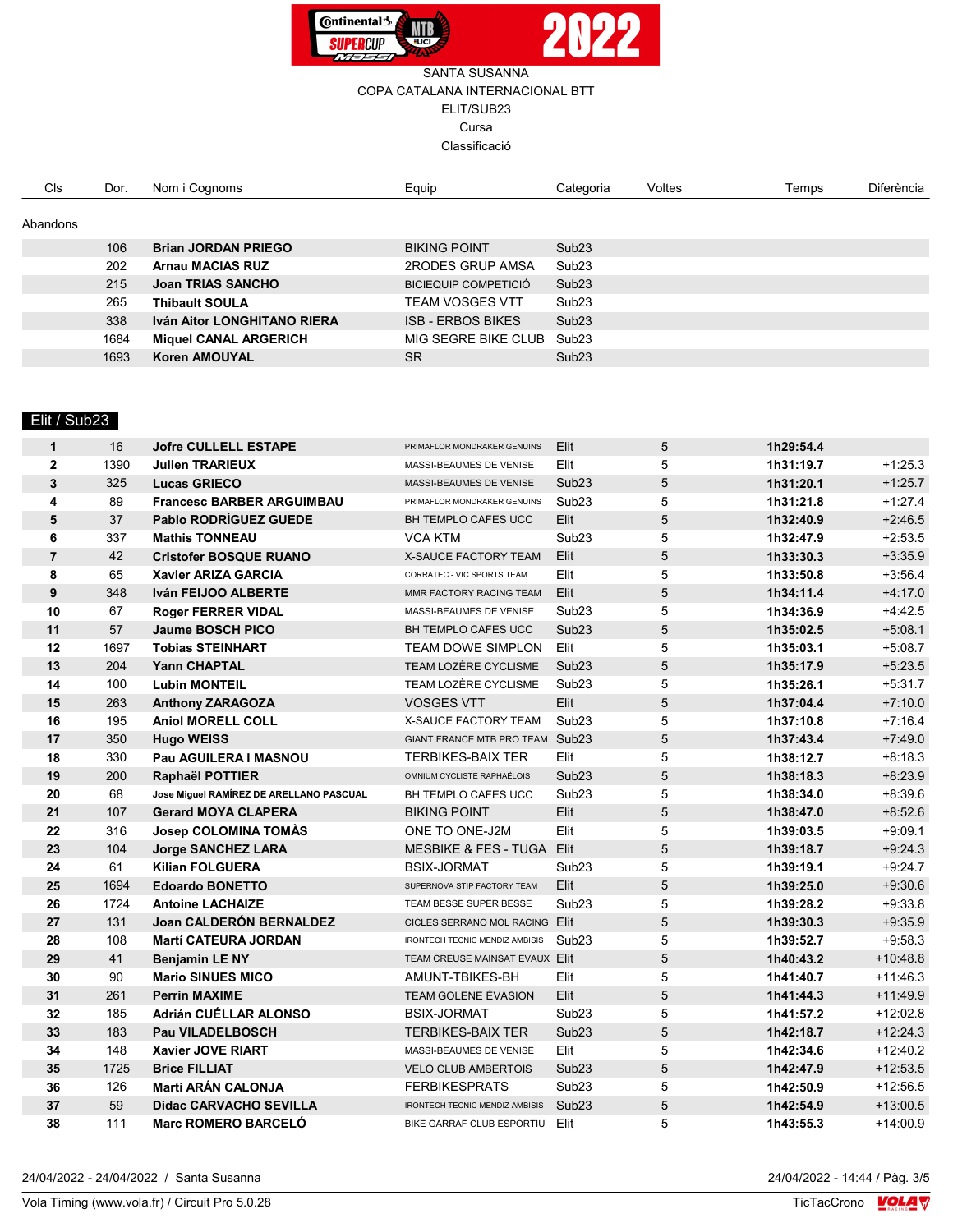

| <b>CIs</b> | Dor. | Nom i Cognoms                | Equip                       | Categoria         | Voltes | Temps | <b>Diferència</b> |
|------------|------|------------------------------|-----------------------------|-------------------|--------|-------|-------------------|
| Abandons   |      |                              |                             |                   |        |       |                   |
|            | 106  | <b>Brian JORDAN PRIEGO</b>   | <b>BIKING POINT</b>         | Sub <sub>23</sub> |        |       |                   |
|            | 202  | <b>Arnau MACIAS RUZ</b>      | 2RODES GRUP AMSA            | Sub <sub>23</sub> |        |       |                   |
|            | 215  | Joan TRIAS SANCHO            | <b>BICIEQUIP COMPETICIÓ</b> | Sub <sub>23</sub> |        |       |                   |
|            | 265  | <b>Thibault SOULA</b>        | TEAM VOSGES VTT             | Sub <sub>23</sub> |        |       |                   |
|            | 338  | Iván Aitor LONGHITANO RIERA  | <b>ISB - ERBOS BIKES</b>    | Sub23             |        |       |                   |
|            | 1684 | <b>Miquel CANAL ARGERICH</b> | MIG SEGRE BIKE CLUB         | Sub <sub>23</sub> |        |       |                   |
|            | 1693 | <b>Koren AMOUYAL</b>         | <b>SR</b>                   | Sub23             |        |       |                   |

## Elit / Sub23

| $\mathbf{1}$   | 16   | <b>Jofre CULLELL ESTAPE</b>             | PRIMAFLOR MONDRAKER GENUINS           | Elit              | 5              | 1h29:54.4 |            |
|----------------|------|-----------------------------------------|---------------------------------------|-------------------|----------------|-----------|------------|
| $\overline{2}$ | 1390 | <b>Julien TRARIEUX</b>                  | MASSI-BEAUMES DE VENISE               | Elit              | 5              | 1h31:19.7 | $+1:25.3$  |
| $\mathbf{3}$   | 325  | <b>Lucas GRIECO</b>                     | MASSI-BEAUMES DE VENISE               | Sub <sub>23</sub> | $\overline{5}$ | 1h31:20.1 | $+1:25.7$  |
| 4              | 89   | <b>Francesc BARBER ARGUIMBAU</b>        | PRIMAFLOR MONDRAKER GENUINS           | Sub <sub>23</sub> | 5              | 1h31:21.8 | $+1:27.4$  |
| 5              | 37   | <b>Pablo RODRÍGUEZ GUEDE</b>            | BH TEMPLO CAFES UCC                   | Elit              | $\overline{5}$ | 1h32:40.9 | $+2:46.5$  |
| 6              | 337  | <b>Mathis TONNEAU</b>                   | <b>VCA KTM</b>                        | Sub <sub>23</sub> | 5              | 1h32:47.9 | $+2:53.5$  |
| $\overline{7}$ | 42   | <b>Cristofer BOSQUE RUANO</b>           | X-SAUCE FACTORY TEAM                  | Elit              | $\sqrt{5}$     | 1h33:30.3 | $+3.35.9$  |
| 8              | 65   | Xavier ARIZA GARCIA                     | CORRATEC - VIC SPORTS TEAM            | Elit              | 5              | 1h33:50.8 | $+3:56.4$  |
| 9              | 348  | <b>Iván FEIJOO ALBERTE</b>              | MMR FACTORY RACING TEAM               | Elit              | 5              | 1h34:11.4 | $+4:17.0$  |
| 10             | 67   | <b>Roger FERRER VIDAL</b>               | MASSI-BEAUMES DE VENISE               | Sub <sub>23</sub> | 5              | 1h34:36.9 | $+4:42.5$  |
| 11             | 57   | <b>Jaume BOSCH PICO</b>                 | BH TEMPLO CAFES UCC                   | Sub <sub>23</sub> | 5              | 1h35:02.5 | $+5:08.1$  |
| 12             | 1697 | <b>Tobias STEINHART</b>                 | <b>TEAM DOWE SIMPLON</b>              | Elit              | 5              | 1h35:03.1 | $+5:08.7$  |
| 13             | 204  | <b>Yann CHAPTAL</b>                     | TEAM LOZÈRE CYCLISME                  | Sub <sub>23</sub> | 5              | 1h35:17.9 | $+5:23.5$  |
| 14             | 100  | <b>Lubin MONTEIL</b>                    | TEAM LOZÈRE CYCLISME                  | Sub <sub>23</sub> | 5              | 1h35:26.1 | $+5:31.7$  |
| 15             | 263  | <b>Anthony ZARAGOZA</b>                 | <b>VOSGES VTT</b>                     | Elit              | 5              | 1h37:04.4 | $+7:10.0$  |
| 16             | 195  | <b>Aniol MORELL COLL</b>                | <b>X-SAUCE FACTORY TEAM</b>           | Sub <sub>23</sub> | 5              | 1h37:10.8 | $+7:16.4$  |
| 17             | 350  | <b>Hugo WEISS</b>                       | GIANT FRANCE MTB PRO TEAM Sub23       |                   | 5              | 1h37:43.4 | $+7:49.0$  |
| 18             | 330  | Pau AGUILERA I MASNOU                   | <b>TERBIKES-BAIX TER</b>              | Elit              | 5              | 1h38:12.7 | $+8:18.3$  |
| 19             | 200  | Raphaël POTTIER                         | OMNIUM CYCLISTE RAPHAËLOIS            | Sub <sub>23</sub> | 5              | 1h38:18.3 | $+8:23.9$  |
| 20             | 68   | Jose Miguel RAMÍREZ DE ARELLANO PASCUAL | BH TEMPLO CAFES UCC                   | Sub <sub>23</sub> | 5              | 1h38:34.0 | $+8.39.6$  |
| 21             | 107  | <b>Gerard MOYA CLAPERA</b>              | <b>BIKING POINT</b>                   | Elit              | 5              | 1h38:47.0 | $+8.52.6$  |
| 22             | 316  | <b>Josep COLOMINA TOMAS</b>             | ONE TO ONE-J2M                        | Elit              | 5              | 1h39:03.5 | $+9.09.1$  |
| 23             | 104  | <b>Jorge SANCHEZ LARA</b>               | MESBIKE & FES - TUGA Elit             |                   | $\sqrt{5}$     | 1h39:18.7 | $+9:24.3$  |
| 24             | 61   | <b>Kilian FOLGUERA</b>                  | <b>BSIX-JORMAT</b>                    | Sub <sub>23</sub> | 5              | 1h39:19.1 | $+9:24.7$  |
| 25             | 1694 | <b>Edoardo BONETTO</b>                  | SUPERNOVA STIP FACTORY TEAM           | Elit              | 5              | 1h39:25.0 | $+9.30.6$  |
| 26             | 1724 | <b>Antoine LACHAIZE</b>                 | TEAM BESSE SUPER BESSE                | Sub <sub>23</sub> | 5              | 1h39:28.2 | $+9.33.8$  |
| 27             | 131  | Joan CALDERÓN BERNALDEZ                 | CICLES SERRANO MOL RACING Elit        |                   | 5              | 1h39:30.3 | $+9.35.9$  |
| 28             | 108  | <b>Martí CATEURA JORDAN</b>             | IRONTECH TECNIC MENDIZ AMBISIS Sub23  |                   | 5              | 1h39:52.7 | $+9:58.3$  |
| 29             | 41   | <b>Benjamin LE NY</b>                   | TEAM CREUSE MAINSAT EVAUX Elit        |                   | 5              | 1h40:43.2 | $+10.48.8$ |
| 30             | 90   | <b>Mario SINUES MICO</b>                | AMUNT-TBIKES-BH                       | Elit              | 5              | 1h41:40.7 | $+11:46.3$ |
| 31             | 261  | <b>Perrin MAXIME</b>                    | TEAM GOLENE ÉVASION                   | Elit              | 5              | 1h41:44.3 | $+11.49.9$ |
| 32             | 185  | Adrián CUÉLLAR ALONSO                   | <b>BSIX-JORMAT</b>                    | Sub <sub>23</sub> | 5              | 1h41:57.2 | $+12:02.8$ |
| 33             | 183  | <b>Pau VILADELBOSCH</b>                 | <b>TERBIKES-BAIX TER</b>              | Sub <sub>23</sub> | 5              | 1h42:18.7 | $+12:24.3$ |
| 34             | 148  | Xavier JOVE RIART                       | MASSI-BEAUMES DE VENISE               | Elit              | 5              | 1h42:34.6 | $+12:40.2$ |
| 35             | 1725 | <b>Brice FILLIAT</b>                    | <b>VELO CLUB AMBERTOIS</b>            | Sub <sub>23</sub> | 5              | 1h42:47.9 | $+12:53.5$ |
| 36             | 126  | <b>Martí ARÁN CALONJA</b>               | <b>FERBIKESPRATS</b>                  | Sub <sub>23</sub> | 5              | 1h42:50.9 | $+12:56.5$ |
| 37             | 59   | <b>Didac CARVACHO SEVILLA</b>           | <b>IRONTECH TECNIC MENDIZ AMBISIS</b> | Sub <sub>23</sub> | 5              | 1h42:54.9 | $+13:00.5$ |
| 38             | 111  | Marc ROMERO BARCELÓ                     | BIKE GARRAF CLUB ESPORTIU             | Elit              | 5              | 1h43:55.3 | $+14:00.9$ |

24/04/2022 - 14:44 / Pàg. 3/5<br>TicTacCrono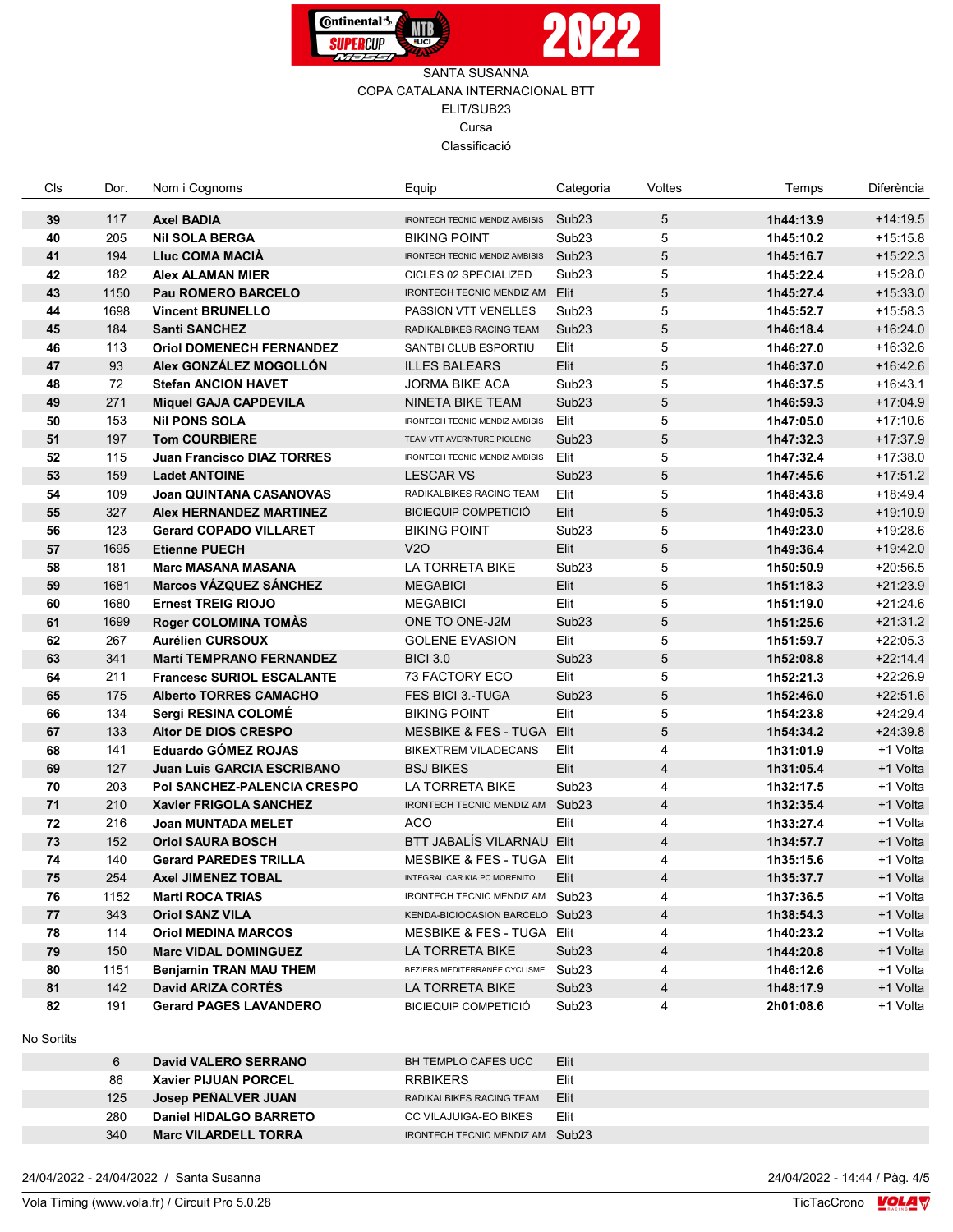



| Cls        | Dor.      | Nom i Cognoms                      | Equip                                 | Categoria         | Voltes         | Temps     | Diferència |
|------------|-----------|------------------------------------|---------------------------------------|-------------------|----------------|-----------|------------|
| 39         | 117       | <b>Axel BADIA</b>                  | <b>IRONTECH TECNIC MENDIZ AMBISIS</b> | Sub <sub>23</sub> | 5              | 1h44:13.9 | $+14:19.5$ |
| 40         | 205       | <b>NII SOLA BERGA</b>              | <b>BIKING POINT</b>                   | Sub <sub>23</sub> | 5              | 1h45:10.2 | $+15:15.8$ |
| 41         | 194       | <b>Lluc COMA MACIA</b>             | <b>IRONTECH TECNIC MENDIZ AMBISIS</b> | Sub <sub>23</sub> | 5              | 1h45:16.7 | $+15:22.3$ |
| 42         | 182       | <b>Alex ALAMAN MIER</b>            | CICLES 02 SPECIALIZED                 | Sub <sub>23</sub> | 5              | 1h45:22.4 | $+15:28.0$ |
| 43         | 1150      | Pau ROMERO BARCELO                 | IRONTECH TECNIC MENDIZ AM             | Elit              | 5              | 1h45:27.4 | $+15:33.0$ |
| 44         | 1698      | <b>Vincent BRUNELLO</b>            | PASSION VTT VENELLES                  | Sub <sub>23</sub> | 5              | 1h45:52.7 | $+15:58.3$ |
| 45         | 184       | <b>Santi SANCHEZ</b>               | RADIKALBIKES RACING TEAM              | Sub <sub>23</sub> | 5              | 1h46:18.4 | $+16:24.0$ |
| 46         | 113       | <b>Oriol DOMENECH FERNANDEZ</b>    | SANTBI CLUB ESPORTIU                  | Elit              | 5              | 1h46:27.0 | $+16:32.6$ |
| 47         | 93        | Alex GONZÁLEZ MOGOLLÓN             | <b>ILLES BALEARS</b>                  | Elit              | 5              | 1h46:37.0 | $+16:42.6$ |
| 48         | 72        | <b>Stefan ANCION HAVET</b>         | <b>JORMA BIKE ACA</b>                 | Sub <sub>23</sub> | 5              | 1h46:37.5 | $+16:43.1$ |
| 49         | 271       | <b>Miquel GAJA CAPDEVILA</b>       | NINETA BIKE TEAM                      | Sub <sub>23</sub> | 5              | 1h46:59.3 | $+17:04.9$ |
| 50         | 153       | <b>Nil PONS SOLA</b>               | IRONTECH TECNIC MENDIZ AMBISIS        | Elit              | 5              | 1h47:05.0 | $+17:10.6$ |
| 51         | 197       | <b>Tom COURBIERE</b>               | TEAM VTT AVERNTURE PIOLENC            | Sub <sub>23</sub> | 5              | 1h47:32.3 | $+17:37.9$ |
| 52         | 115       | Juan Francisco DIAZ TORRES         | IRONTECH TECNIC MENDIZ AMBISIS        | Elit              | 5              | 1h47:32.4 | $+17:38.0$ |
| 53         | 159       | <b>Ladet ANTOINE</b>               | <b>LESCAR VS</b>                      | Sub <sub>23</sub> | 5              | 1h47:45.6 | $+17:51.2$ |
| 54         | 109       | Joan QUINTANA CASANOVAS            | RADIKALBIKES RACING TEAM              | Elit              | 5              | 1h48:43.8 | $+18.49.4$ |
| 55         | 327       | <b>Alex HERNANDEZ MARTINEZ</b>     | <b>BICIEQUIP COMPETICIÓ</b>           | Elit              | 5              | 1h49:05.3 | $+19:10.9$ |
| 56         | 123       | <b>Gerard COPADO VILLARET</b>      | <b>BIKING POINT</b>                   | Sub <sub>23</sub> | 5              | 1h49:23.0 | $+19:28.6$ |
| 57         | 1695      | <b>Etienne PUECH</b>               | V2O                                   | Elit              | 5              | 1h49:36.4 | $+19:42.0$ |
| 58         | 181       | <b>Marc MASANA MASANA</b>          | LA TORRETA BIKE                       | Sub <sub>23</sub> | 5              | 1h50:50.9 | $+20.56.5$ |
| 59         | 1681      | <b>Marcos VÁZQUEZ SÁNCHEZ</b>      | <b>MEGABICI</b>                       | Elit              | 5              | 1h51:18.3 | $+21:23.9$ |
| 60         | 1680      | <b>Ernest TREIG RIOJO</b>          | <b>MEGABICI</b>                       | Elit              | 5              | 1h51:19.0 | $+21:24.6$ |
| 61         | 1699      | <b>Roger COLOMINA TOMAS</b>        | ONE TO ONE-J2M                        | Sub <sub>23</sub> | 5              | 1h51:25.6 | $+21:31.2$ |
| 62         | 267       | <b>Aurélien CURSOUX</b>            | <b>GOLENE EVASION</b>                 | Elit              | 5              | 1h51:59.7 | $+22:05.3$ |
| 63         | 341       | <b>Martí TEMPRANO FERNANDEZ</b>    | <b>BICI 3.0</b>                       | Sub <sub>23</sub> | 5              | 1h52:08.8 | $+22:14.4$ |
| 64         | 211       | <b>Francesc SURIOL ESCALANTE</b>   | 73 FACTORY ECO                        | Elit              | 5              | 1h52:21.3 | $+22:26.9$ |
| 65         | 175       | <b>Alberto TORRES CAMACHO</b>      | FES BICI 3.-TUGA                      | Sub <sub>23</sub> | 5              | 1h52:46.0 | $+22:51.6$ |
| 66         | 134       | Sergi RESINA COLOMÉ                | <b>BIKING POINT</b>                   | Elit              | 5              | 1h54:23.8 | $+24:29.4$ |
| 67         | 133       | Aitor DE DIOS CRESPO               | MESBIKE & FES - TUGA Elit             |                   | 5              | 1h54:34.2 | $+24:39.8$ |
| 68         | 141       | Eduardo GÓMEZ ROJAS                | <b>BIKEXTREM VILADECANS</b>           | Elit              | 4              | 1h31:01.9 | +1 Volta   |
| 69         | 127       | Juan Luis GARCIA ESCRIBANO         | <b>BSJ BIKES</b>                      | Elit              | $\overline{4}$ | 1h31:05.4 | +1 Volta   |
| 70         | 203       | <b>Pol SANCHEZ-PALENCIA CRESPO</b> | LA TORRETA BIKE                       | Sub <sub>23</sub> | 4              | 1h32:17.5 | +1 Volta   |
| 71         | 210       | <b>Xavier FRIGOLA SANCHEZ</b>      | IRONTECH TECNIC MENDIZ AM             | Sub23             | 4              | 1h32:35.4 | +1 Volta   |
| 72         | 216       | Joan MUNTADA MELET                 | <b>ACO</b>                            | Elit              | 4              | 1h33:27.4 | +1 Volta   |
| 73         | 152       | <b>Oriol SAURA BOSCH</b>           | BTT JABALÍS VILARNAU Elit             |                   | 4              | 1h34:57.7 | +1 Volta   |
| 74         | 140       | <b>Gerard PAREDES TRILLA</b>       | MESBIKE & FES - TUGA Elit             |                   | 4              | 1h35:15.6 | +1 Volta   |
| 75         | 254       | <b>Axel JIMENEZ TOBAL</b>          | INTEGRAL CAR KIA PC MORENITO          | Elit              | 4              | 1h35:37.7 | +1 Volta   |
| 76         | 1152      | <b>Marti ROCA TRIAS</b>            | IRONTECH TECNIC MENDIZ AM Sub23       |                   | 4              | 1h37:36.5 | +1 Volta   |
| 77         | 343       | <b>Oriol SANZ VILA</b>             | KENDA-BICIOCASION BARCELO Sub23       |                   | 4              | 1h38:54.3 | +1 Volta   |
| 78         | 114       | <b>Oriol MEDINA MARCOS</b>         | MESBIKE & FES - TUGA Elit             |                   | 4              | 1h40:23.2 | +1 Volta   |
| 79         | 150       | <b>Marc VIDAL DOMINGUEZ</b>        | LA TORRETA BIKE                       | Sub <sub>23</sub> | 4              | 1h44:20.8 | +1 Volta   |
| 80         | 1151      | <b>Benjamin TRAN MAU THEM</b>      | BEZIERS MEDITERRANÉE CYCLISME Sub23   |                   | 4              | 1h46:12.6 | +1 Volta   |
| 81         | 142       | David ARIZA CORTÉS                 | LA TORRETA BIKE                       | Sub <sub>23</sub> | 4              | 1h48:17.9 | +1 Volta   |
| 82         | 191       | <b>Gerard PAGÈS LAVANDERO</b>      | <b>BICIEQUIP COMPETICIÓ</b>           | Sub <sub>23</sub> | 4              | 2h01:08.6 | +1 Volta   |
| No Sortits |           |                                    |                                       |                   |                |           |            |
|            | 6         | <b>David VALERO SERRANO</b>        | BH TEMPLO CAFES UCC                   | Elit              |                |           |            |
|            | <b>RG</b> | Vavior DI IIIAN DODCEL             | <b>PPRIKERS</b>                       | $E$ lit           |                |           |            |

|                                                                                                                                     | Elit                                                                                                                                  |
|-------------------------------------------------------------------------------------------------------------------------------------|---------------------------------------------------------------------------------------------------------------------------------------|
|                                                                                                                                     | Elit                                                                                                                                  |
|                                                                                                                                     | Elit                                                                                                                                  |
|                                                                                                                                     | Elit                                                                                                                                  |
|                                                                                                                                     |                                                                                                                                       |
| David VALERO SERRANO<br><b>Xavier PIJUAN PORCEL</b><br>Josep PEÑALVER JUAN<br>Daniel HIDALGO BARRETO<br><b>Marc VILARDELL TORRA</b> | BH TEMPLO CAFES UCC<br><b>RRBIKERS</b><br>RADIKALBIKES RACING TEAM<br>CC VILAJUIGA-EO BIKES<br><b>IRONTECH TECNIC MENDIZ AM Sub23</b> |